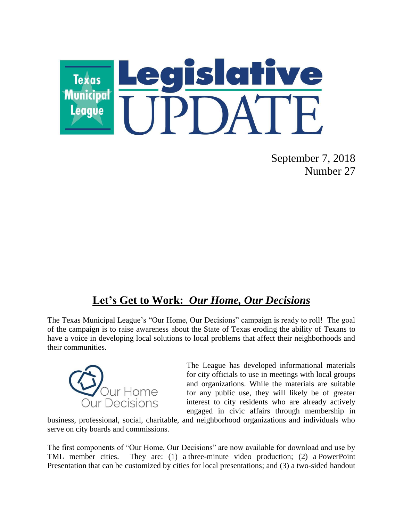

September 7, 2018 Number 27

## **Let's Get to Work:** *Our Home, Our Decisions*

The Texas Municipal League's "Our Home, Our Decisions" campaign is ready to roll! The goal of the campaign is to raise awareness about the State of Texas eroding the ability of Texans to have a voice in developing local solutions to local problems that affect their neighborhoods and their communities.



The League has developed informational materials for city officials to use in meetings with local groups and organizations. While the materials are suitable for any public use, they will likely be of greater interest to city residents who are already actively engaged in civic affairs through membership in

business, professional, social, charitable, and neighborhood organizations and individuals who serve on city boards and commissions.

The first components of "Our Home, Our Decisions" are now available for download and use by TML member cities. They are: (1) a three-minute video production; (2) a PowerPoint Presentation that can be customized by cities for local presentations; and (3) a two-sided handout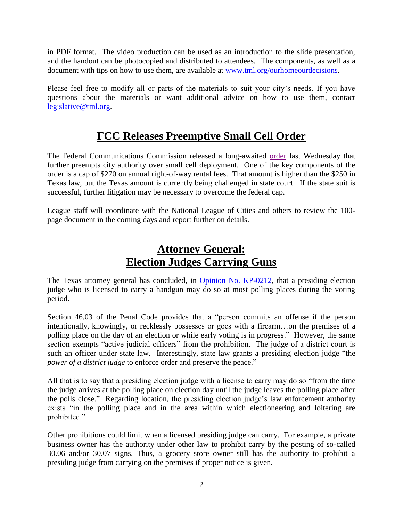in PDF format. The video production can be used as an introduction to the slide presentation, and the handout can be photocopied and distributed to attendees. The components, as well as a document with tips on how to use them, are available at [www.tml.org/ourhomeourdecisions.](http://www.tml.org/ourhomeourdecisions)

Please feel free to modify all or parts of the materials to suit your city's needs. If you have questions about the materials or want additional advice on how to use them, contact [legislative@tml.org.](mailto:legislative@tml.org)

## **FCC Releases Preemptive Small Cell Order**

The Federal Communications Commission released a long-awaited [order](https://docs.fcc.gov/public/attachments/DOC-353962A1.pdf) last Wednesday that further preempts city authority over small cell deployment. One of the key components of the order is a cap of \$270 on annual right-of-way rental fees. That amount is higher than the \$250 in Texas law, but the Texas amount is currently being challenged in state court. If the state suit is successful, further litigation may be necessary to overcome the federal cap.

League staff will coordinate with the National League of Cities and others to review the 100 page document in the coming days and report further on details.

## **Attorney General: Election Judges Carrying Guns**

The Texas attorney general has concluded, in **Opinion No. KP-0212**, that a presiding election judge who is licensed to carry a handgun may do so at most polling places during the voting period.

Section 46.03 of the Penal Code provides that a "person commits an offense if the person intentionally, knowingly, or recklessly possesses or goes with a firearm…on the premises of a polling place on the day of an election or while early voting is in progress." However, the same section exempts "active judicial officers" from the prohibition. The judge of a district court is such an officer under state law. Interestingly, state law grants a presiding election judge "the *power of a district judge* to enforce order and preserve the peace."

All that is to say that a presiding election judge with a license to carry may do so "from the time the judge arrives at the polling place on election day until the judge leaves the polling place after the polls close." Regarding location, the presiding election judge's law enforcement authority exists "in the polling place and in the area within which electioneering and loitering are prohibited."

Other prohibitions could limit when a licensed presiding judge can carry. For example, a private business owner has the authority under other law to prohibit carry by the posting of so-called 30.06 and/or 30.07 signs. Thus, a grocery store owner still has the authority to prohibit a presiding judge from carrying on the premises if proper notice is given.